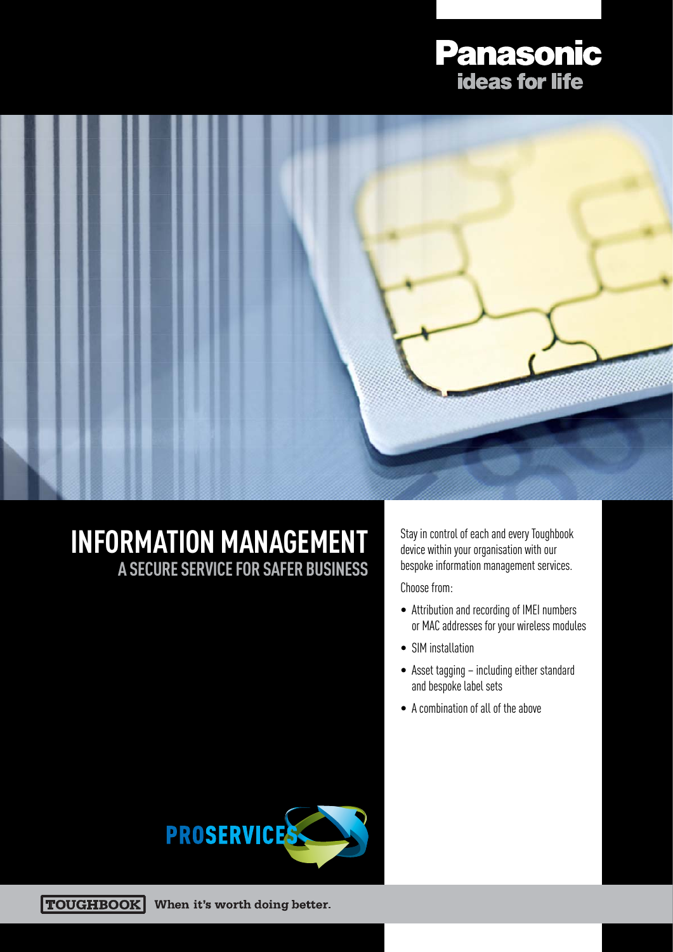# **Panasonic<br>
ideas for life**



### **INFORMATION MANAGEMENT A SECURE SERVICE FOR SAFER BUSINESS**

Stay in control of each and every Toughbook device within your organisation with our bespoke information management services.

Choose from:

- Attribution and recording of IMEI numbers or MAC addresses for your wireless modules
- SIM installation
- Asset tagging including either standard and bespoke label sets
- A combination of all of the above



**TOUGHBOOK** When it's worth doing better.